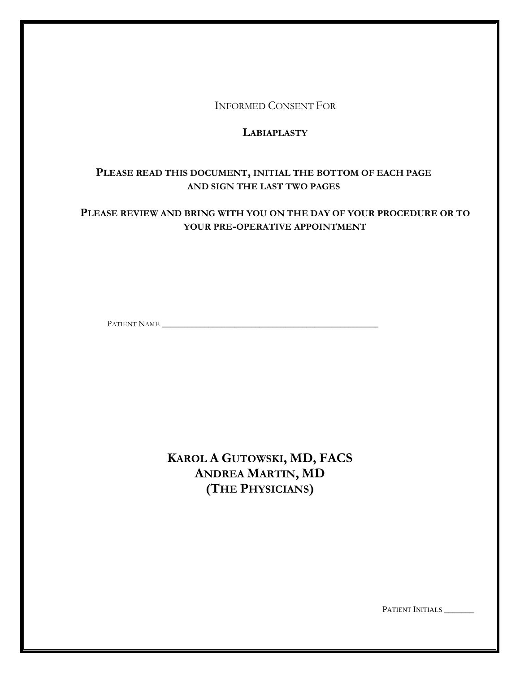INFORMED CONSENT FOR

# **LABIAPLASTY**

# **PLEASE READ THIS DOCUMENT, INITIAL THE BOTTOM OF EACH PAGE AND SIGN THE LAST TWO PAGES**

# **PLEASE REVIEW AND BRING WITH YOU ON THE DAY OF YOUR PROCEDURE OR TO YOUR PRE-OPERATIVE APPOINTMENT**

PATIENT NAME \_\_\_\_\_\_\_\_\_\_\_\_\_\_\_\_\_\_\_\_\_\_\_\_\_\_\_\_\_\_\_\_\_\_\_\_\_\_\_\_\_\_\_\_\_\_\_\_\_\_\_

**KAROL A GUTOWSKI, MD, FACS ANDREA MARTIN, MD (THE PHYSICIANS)**

PATIENT INITIALS \_\_\_\_\_\_\_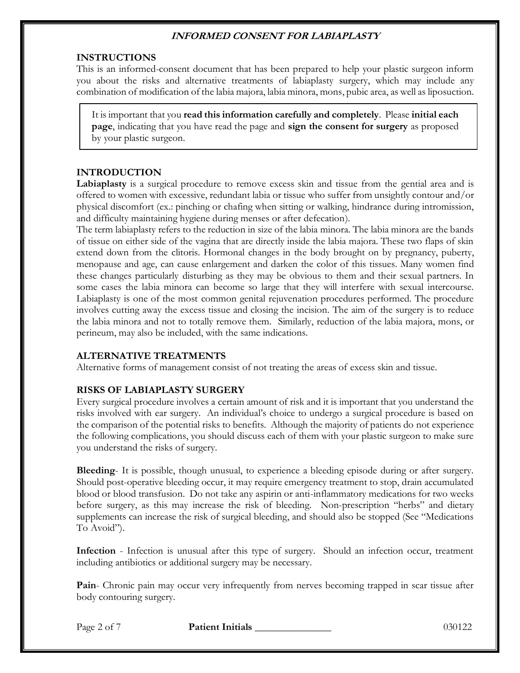#### **INSTRUCTIONS**

This is an informed-consent document that has been prepared to help your plastic surgeon inform you about the risks and alternative treatments of labiaplasty surgery, which may include any combination of modification of the labia majora, labia minora, mons, pubic area, as well as liposuction.

It is important that you **read this information carefully and completely**. Please **initial each page**, indicating that you have read the page and **sign the consent for surgery** as proposed by your plastic surgeon.

#### **INTRODUCTION**

**Labiaplasty** is a surgical procedure to remove excess skin and tissue from the gential area and is offered to women with excessive, redundant labia or tissue who suffer from unsightly contour and/or physical discomfort (ex.: pinching or chafing when sitting or walking, hindrance during intromission, and difficulty maintaining hygiene during menses or after defecation).

The term labiaplasty refers to the reduction in size of the labia minora. The labia minora are the bands of tissue on either side of the vagina that are directly inside the labia majora. These two flaps of skin extend down from the clitoris. Hormonal changes in the body brought on by pregnancy, puberty, menopause and age, can cause enlargement and darken the color of this tissues. Many women find these changes particularly disturbing as they may be obvious to them and their sexual partners. In some cases the labia minora can become so large that they will interfere with sexual intercourse. Labiaplasty is one of the most common genital rejuvenation procedures performed. The procedure involves cutting away the excess tissue and closing the incision. The aim of the surgery is to reduce the labia minora and not to totally remove them. Similarly, reduction of the labia majora, mons, or perineum, may also be included, with the same indications.

### **ALTERNATIVE TREATMENTS**

Alternative forms of management consist of not treating the areas of excess skin and tissue.

### **RISKS OF LABIAPLASTY SURGERY**

Every surgical procedure involves a certain amount of risk and it is important that you understand the risks involved with ear surgery. An individual's choice to undergo a surgical procedure is based on the comparison of the potential risks to benefits. Although the majority of patients do not experience the following complications, you should discuss each of them with your plastic surgeon to make sure you understand the risks of surgery.

**Bleeding**- It is possible, though unusual, to experience a bleeding episode during or after surgery. Should post-operative bleeding occur, it may require emergency treatment to stop, drain accumulated blood or blood transfusion. Do not take any aspirin or anti-inflammatory medications for two weeks before surgery, as this may increase the risk of bleeding. Non-prescription "herbs" and dietary supplements can increase the risk of surgical bleeding, and should also be stopped (See "Medications To Avoid").

**Infection** - Infection is unusual after this type of surgery. Should an infection occur, treatment including antibiotics or additional surgery may be necessary.

**Pain**- Chronic pain may occur very infrequently from nerves becoming trapped in scar tissue after body contouring surgery.

Page 2 of 7 **Patient Initials** 130122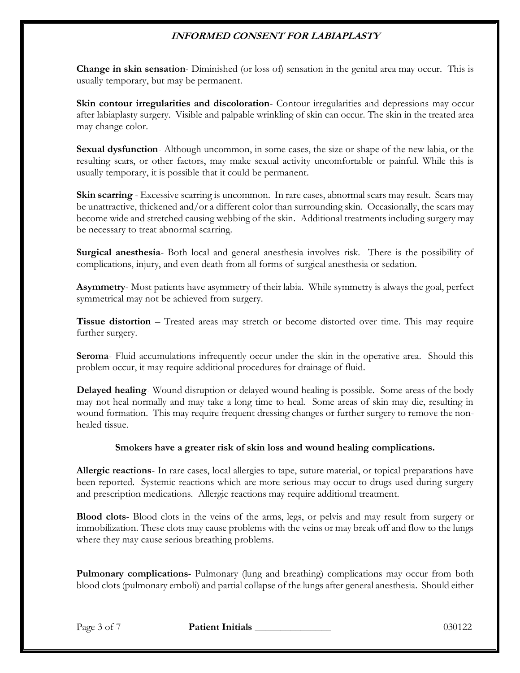**Change in skin sensation**- Diminished (or loss of) sensation in the genital area may occur. This is usually temporary, but may be permanent.

**Skin contour irregularities and discoloration**- Contour irregularities and depressions may occur after labiaplasty surgery. Visible and palpable wrinkling of skin can occur. The skin in the treated area may change color.

**Sexual dysfunction**- Although uncommon, in some cases, the size or shape of the new labia, or the resulting scars, or other factors, may make sexual activity uncomfortable or painful. While this is usually temporary, it is possible that it could be permanent.

**Skin scarring** - Excessive scarring is uncommon. In rare cases, abnormal scars may result. Scars may be unattractive, thickened and/or a different color than surrounding skin. Occasionally, the scars may become wide and stretched causing webbing of the skin. Additional treatments including surgery may be necessary to treat abnormal scarring.

**Surgical anesthesia**- Both local and general anesthesia involves risk. There is the possibility of complications, injury, and even death from all forms of surgical anesthesia or sedation.

**Asymmetry**- Most patients have asymmetry of their labia. While symmetry is always the goal, perfect symmetrical may not be achieved from surgery.

**Tissue distortion** – Treated areas may stretch or become distorted over time. This may require further surgery.

**Seroma**- Fluid accumulations infrequently occur under the skin in the operative area. Should this problem occur, it may require additional procedures for drainage of fluid.

**Delayed healing**- Wound disruption or delayed wound healing is possible. Some areas of the body may not heal normally and may take a long time to heal. Some areas of skin may die, resulting in wound formation. This may require frequent dressing changes or further surgery to remove the nonhealed tissue.

### **Smokers have a greater risk of skin loss and wound healing complications.**

**Allergic reactions**- In rare cases, local allergies to tape, suture material, or topical preparations have been reported. Systemic reactions which are more serious may occur to drugs used during surgery and prescription medications. Allergic reactions may require additional treatment.

**Blood clots**- Blood clots in the veins of the arms, legs, or pelvis and may result from surgery or immobilization. These clots may cause problems with the veins or may break off and flow to the lungs where they may cause serious breathing problems.

**Pulmonary complications**- Pulmonary (lung and breathing) complications may occur from both blood clots (pulmonary emboli) and partial collapse of the lungs after general anesthesia. Should either

Page 3 of 7 **Patient Initials** 130122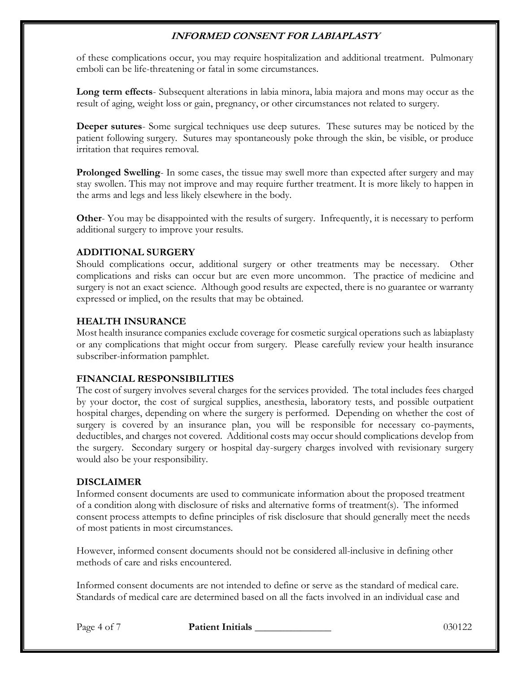of these complications occur, you may require hospitalization and additional treatment. Pulmonary emboli can be life-threatening or fatal in some circumstances.

**Long term effects**- Subsequent alterations in labia minora, labia majora and mons may occur as the result of aging, weight loss or gain, pregnancy, or other circumstances not related to surgery.

**Deeper sutures**- Some surgical techniques use deep sutures. These sutures may be noticed by the patient following surgery. Sutures may spontaneously poke through the skin, be visible, or produce irritation that requires removal.

**Prolonged Swelling**- In some cases, the tissue may swell more than expected after surgery and may stay swollen. This may not improve and may require further treatment. It is more likely to happen in the arms and legs and less likely elsewhere in the body.

**Other-** You may be disappointed with the results of surgery. Infrequently, it is necessary to perform additional surgery to improve your results.

### **ADDITIONAL SURGERY**

Should complications occur, additional surgery or other treatments may be necessary. Other complications and risks can occur but are even more uncommon. The practice of medicine and surgery is not an exact science. Although good results are expected, there is no guarantee or warranty expressed or implied, on the results that may be obtained.

### **HEALTH INSURANCE**

Most health insurance companies exclude coverage for cosmetic surgical operations such as labiaplasty or any complications that might occur from surgery. Please carefully review your health insurance subscriber-information pamphlet.

### **FINANCIAL RESPONSIBILITIES**

The cost of surgery involves several charges for the services provided. The total includes fees charged by your doctor, the cost of surgical supplies, anesthesia, laboratory tests, and possible outpatient hospital charges, depending on where the surgery is performed. Depending on whether the cost of surgery is covered by an insurance plan, you will be responsible for necessary co-payments, deductibles, and charges not covered. Additional costs may occur should complications develop from the surgery. Secondary surgery or hospital day-surgery charges involved with revisionary surgery would also be your responsibility.

### **DISCLAIMER**

Informed consent documents are used to communicate information about the proposed treatment of a condition along with disclosure of risks and alternative forms of treatment(s). The informed consent process attempts to define principles of risk disclosure that should generally meet the needs of most patients in most circumstances.

However, informed consent documents should not be considered all-inclusive in defining other methods of care and risks encountered.

Informed consent documents are not intended to define or serve as the standard of medical care. Standards of medical care are determined based on all the facts involved in an individual case and

Page 4 of 7 **Patient Initials 1996 Page 4 of 7** 030122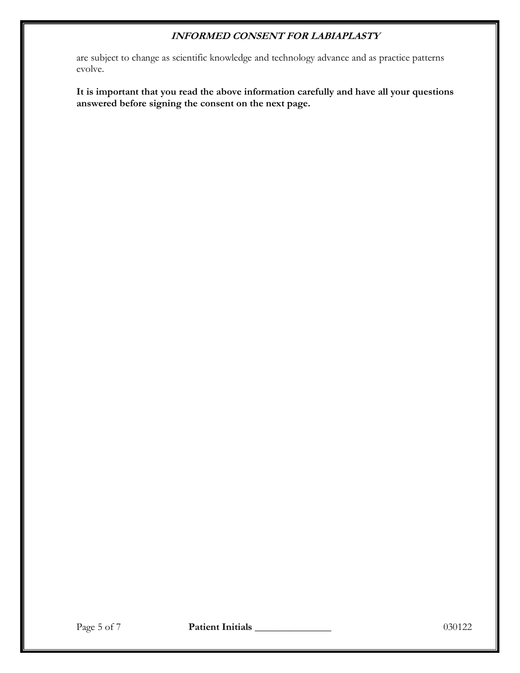are subject to change as scientific knowledge and technology advance and as practice patterns evolve.

**It is important that you read the above information carefully and have all your questions answered before signing the consent on the next page.**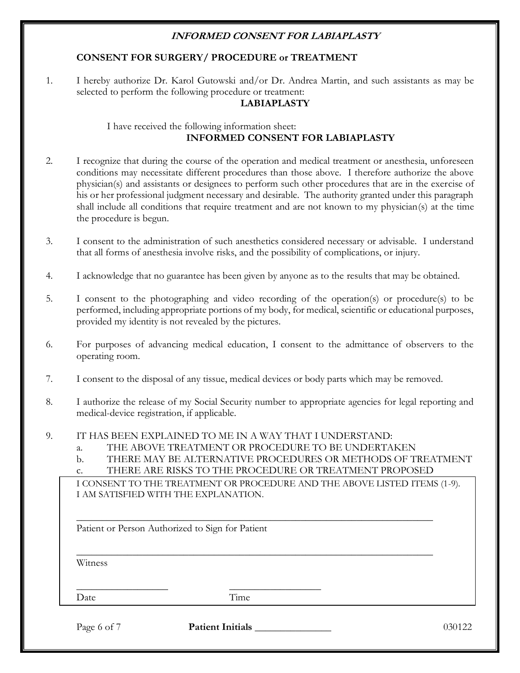### **CONSENT FOR SURGERY/ PROCEDURE or TREATMENT**

1. I hereby authorize Dr. Karol Gutowski and/or Dr. Andrea Martin, and such assistants as may be selected to perform the following procedure or treatment:

#### **LABIAPLASTY**

### I have received the following information sheet: **INFORMED CONSENT FOR LABIAPLASTY**

- 2. I recognize that during the course of the operation and medical treatment or anesthesia, unforeseen conditions may necessitate different procedures than those above. I therefore authorize the above physician(s) and assistants or designees to perform such other procedures that are in the exercise of his or her professional judgment necessary and desirable. The authority granted under this paragraph shall include all conditions that require treatment and are not known to my physician(s) at the time the procedure is begun.
- 3. I consent to the administration of such anesthetics considered necessary or advisable. I understand that all forms of anesthesia involve risks, and the possibility of complications, or injury.
- 4. I acknowledge that no guarantee has been given by anyone as to the results that may be obtained.
- 5. I consent to the photographing and video recording of the operation(s) or procedure(s) to be performed, including appropriate portions of my body, for medical, scientific or educational purposes, provided my identity is not revealed by the pictures.
- 6. For purposes of advancing medical education, I consent to the admittance of observers to the operating room.
- 7. I consent to the disposal of any tissue, medical devices or body parts which may be removed.
- 8. I authorize the release of my Social Security number to appropriate agencies for legal reporting and medical-device registration, if applicable.
- 9. IT HAS BEEN EXPLAINED TO ME IN A WAY THAT I UNDERSTAND:
	- a. THE ABOVE TREATMENT OR PROCEDURE TO BE UNDERTAKEN
	- b. THERE MAY BE ALTERNATIVE PROCEDURES OR METHODS OF TREATMENT
	- c. THERE ARE RISKS TO THE PROCEDURE OR TREATMENT PROPOSED

\_\_\_\_\_\_\_\_\_\_\_\_\_\_\_\_\_\_\_\_\_\_\_\_\_\_\_\_\_\_\_\_\_\_\_\_\_\_\_\_\_\_\_\_\_\_\_\_\_\_\_\_\_\_\_\_\_\_\_\_\_\_\_\_\_\_\_\_\_\_

\_\_\_\_\_\_\_\_\_\_\_\_\_\_\_\_\_\_\_\_\_\_\_\_\_\_\_\_\_\_\_\_\_\_\_\_\_\_\_\_\_\_\_\_\_\_\_\_\_\_\_\_\_\_\_\_\_\_\_\_\_\_\_\_\_\_\_\_\_\_

I CONSENT TO THE TREATMENT OR PROCEDURE AND THE ABOVE LISTED ITEMS (1-9). I AM SATISFIED WITH THE EXPLANATION.

Patient or Person Authorized to Sign for Patient

\_\_\_\_\_\_\_\_\_\_\_\_\_\_\_\_\_\_ \_\_\_\_\_\_\_\_\_\_\_\_\_\_\_\_\_\_

Witness

Date Time

Page 6 of 7 **Patient Initials 1998 Patient Initials** 1030122